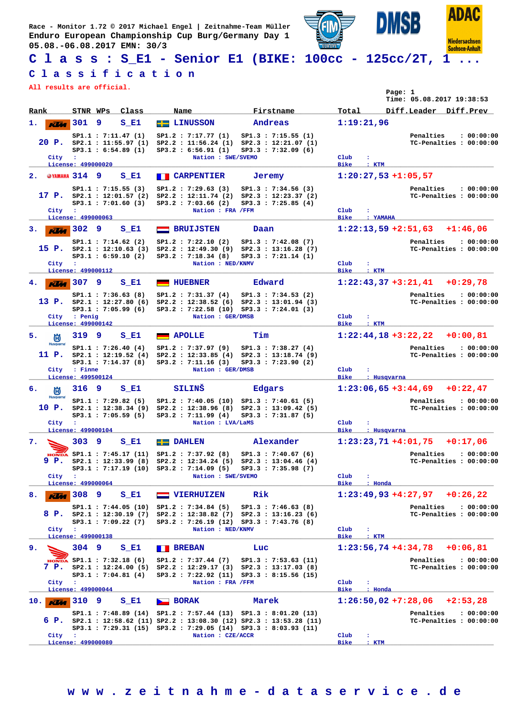**Race - Monitor 1.72 © 2017 Michael Engel | Zeitnahme-Team Müller Enduro European Championship Cup Burg/Germany Day 1 05.08.-06.08.2017 EMN: 30/3**



**C l a s s : S\_E1 - Senior E1 (BIKE: 100cc - 125cc/2T, 1 ...**

## **C l a s s i f i c a t i o n**

**All results are official.**

| All lesuits ale Ollicial.         |                                        |                                                                             |                                                                                        |                                                                                                                                                                                                            |                                             | Page: 1<br>Time: 05.08.2017 19:38:53                              |
|-----------------------------------|----------------------------------------|-----------------------------------------------------------------------------|----------------------------------------------------------------------------------------|------------------------------------------------------------------------------------------------------------------------------------------------------------------------------------------------------------|---------------------------------------------|-------------------------------------------------------------------|
| Rank                              | STNR WPs                               | Class                                                                       | Name                                                                                   | Firstname                                                                                                                                                                                                  | Total                                       | Diff.Leader Diff.Prev                                             |
| ı.<br><b>KV</b> a                 | 301                                    | 9<br>S E1                                                                   | <b>EE</b> LINUSSON                                                                     | Andreas                                                                                                                                                                                                    | 1:19:21,96                                  |                                                                   |
| City :                            | License: 499000020                     | SP1.1 : 7:11.47(1)<br>$20$ P. $SP2.1$ : 11:55.97 (1)<br>SP3.1 : 6:54.89(1)  | SP1.2 : 7:17.77(1)<br>SP3.2 : 6:56.91(1)<br>Nation : SWE/SVEMO                         | SP1.3 : 7:15.55(1)<br>SP2.2 : 11:56.24 (1) SP2.3 : 12:21.07 (1)<br>SP3.3 : 7:32.09(6)                                                                                                                      | Club<br>٠.<br><b>Bike</b><br>: KTM          | : 00:00:00<br>Penalties<br>TC-Penalties : 00:00:00                |
| 2. @YAMAHA 314 9                  |                                        | S E1                                                                        | <b>E CARPENTIER</b>                                                                    | Jeremy                                                                                                                                                                                                     |                                             | $1:20:27,53$ +1:05,57                                             |
| City                              | ÷<br>License: 499000063                | SP1.1 : 7:15.55(3)<br>17 P. $SP2.1 : 12:01.57(2)$<br>SP3.1 : 7:01.60(3)     | SP1.2 : 7:29.63(3)<br>SP2.2 : 12:11.74 (2)<br>SP3.2 : 7:03.66 (2)<br>Nation : FRA /FFM | SP1.3 : 7:34.56(3)<br>SP2.3 : 12:23.37 (2)<br>SP3.3 : 7:25.85(4)                                                                                                                                           | Club<br><b>Bike</b><br>: YAMAHA             | Penalties<br>: 00:00:00<br>TC-Penalties : 00:00:00                |
| з.<br><b>KLM</b>                  | 302                                    | 9<br>S E1                                                                   | <b>BRUIJSTEN</b><br>$\equiv$                                                           | Daan                                                                                                                                                                                                       |                                             | $1:22:13,59$ +2:51,63<br>$+1:46,06$                               |
| City                              | $\mathbf{r}$                           | SP1.1 : 7:14.62 (2)<br>$15$ P. $SP2.1$ : 12:10.63 (3)<br>SP3.1 : 6:59.10(2) | SP1.2 : 7:22.10(2)<br>SP2.2 : 12:49.30(9)<br>SP3.2 : 7:18.34 (8)<br>Nation : NED/KNMV  | SP1.3 : 7:42.08(7)<br>SP2.3 : 13:16.28(7)<br>SP3.3 : 7:21.14 (1)                                                                                                                                           | Club<br>÷                                   | Penalties<br>: 00:00:00<br>TC-Penalties : 00:00:00                |
|                                   | License: 499000112                     |                                                                             |                                                                                        |                                                                                                                                                                                                            | Bike<br>$:$ KTM                             |                                                                   |
| <b>KUM</b>                        | 307                                    | 9<br>S El                                                                   | <b>HUEBNER</b>                                                                         | Edward                                                                                                                                                                                                     |                                             | $1:22:43,37+3:21,41$<br>$+0:29.78$                                |
|                                   | City : Penig<br>License: 499000142     | SP1.1 : 7:36.63(8)<br>13 P. $SP2.1 : 12:27.80(6)$<br>SP3.1 : 7:05.99(6)     | SP1.2 : 7:31.37(4)<br>SP2.2 : 12:38.52(6)<br>Nation : GER/DMSB                         | SP1.3 : 7:34.53 (2)<br>SP2.3 : 13:01.94 (3)<br>SP3.2 : 7:22.58 (10) SP3.3 : 7:24.01 (3)                                                                                                                    | $_{\rm Club}$<br>÷<br>Bike<br>: KTM         | : 00:00:00<br>Penalties<br>TC-Penalties : 00:00:00                |
| 5.<br>尚                           | 319                                    | 9<br>S El                                                                   | <b>APOLLE</b>                                                                          | Tim                                                                                                                                                                                                        |                                             | $1:22:44,18+3:22,22$<br>+0:00,81                                  |
| <b>Husqvarna</b><br>11 P.<br>City | : Finne                                | SP1.1 : 7:26.40(4)<br>$SP2.1$ : 12:19.52 (4)<br>SP3.1 : 7:14.37(8)          | SP1.2 : 7:37.97 (9)<br>SP3.2 : 7:11.16(3)<br>Nation : GER/DMSB                         | SP1.3 : 7:38.27(4)<br>SP2.2: 12:33.85 (4) SP2.3: 13:18.74 (9)<br>SP3.3 : 7:23.90(2)                                                                                                                        | Club                                        | Penalties<br>: 00:00:00<br>TC-Penalties : 00:00:00                |
|                                   | License: 499500124                     |                                                                             |                                                                                        |                                                                                                                                                                                                            | <b>Bike</b>                                 | : Husqvarna                                                       |
| б.<br>尚<br>Husqvarna              | 316                                    | S E1<br>-9                                                                  | <b>SILINS</b>                                                                          | <b>Edgars</b>                                                                                                                                                                                              |                                             | $1:23:06,65+3:44,69$<br>$+0:22,47$                                |
| 10 P.<br>City                     | $\mathbf{E}$<br>License: 499000104     | SP1.1: 7:29.82 (5)<br>SP2.1 : 12:38.34 (9)<br>SP3.1 : 7:05.59(5)            | SP1.2: 7:40.05 (10)<br>SP3.2 : 7:11.99(4)<br>Nation : LVA/LaMS                         | SP1.3 : 7:40.61(5)<br>$SP2.2 : 12:38.96 (8) SP2.3 : 13:09.42 (5)$<br>SP3.3 : 7:31.87(5)                                                                                                                    | Club<br>٠.<br><b>Bike</b>                   | Penalties<br>: 00:00:00<br>TC-Penalties : 00:00:00<br>: Husqvarna |
| 7.                                | 303                                    | 9<br>S El                                                                   | $\blacksquare$ DAHLEN                                                                  | Alexander                                                                                                                                                                                                  |                                             | $1:23:23,71+4:01,75$<br>$+0:17,06$                                |
| 9 P.<br>City :                    |                                        | SP2.1 : 12:33.99(8)                                                         | HONDA SP1.1 : 7:45.17 (11) SP1.2 : 7:37.92 (8)<br>Nation : SWE/SVEMO                   | SP1.3 : 7:40.67(6)<br>SP2.2 : 12:34.24 (5) SP2.3 : 13:04.46 (4)<br>SP3.1: 7:17.19 (10) SP3.2: 7:14.09 (5) SP3.3: 7:35.98 (7)                                                                               | $_{\text{Club}}$<br>÷                       | Penalties<br>: 00:00:00<br>TC-Penalties : 00:00:00                |
| 8.<br><b>KUM</b>                  | License: 499000064<br>308 <sup>9</sup> | S E1                                                                        | <b>VIERHUIZEN</b><br>$\equiv$                                                          | Rik                                                                                                                                                                                                        | Bike<br>: Honda                             | $1:23:49,93+4:27,97$ +0:26,22                                     |
|                                   |                                        | SP1.1 : 7:44.05 (10)<br>$SP3.1$ : 7:09.22 (7)                               | SP1.2 : 7:34.84 (5)                                                                    | SP1.3 : 7:46.63(8)<br>8 P. SP2.1 : 12:30.19 (7) SP2.2 : 12:38.82 (7) SP2.3 : 13:16.23 (6)<br>SP3.2 : 7:26.19 (12) SP3.3 : 7:43.76 (8)                                                                      |                                             | Penalties<br>: 00:00:00<br>TC-Penalties : 00:00:00                |
| City :                            | License: 499000138                     |                                                                             | Nation : NED/KNMV                                                                      |                                                                                                                                                                                                            | $_{\rm Club}$<br>٠.<br><b>Bike</b><br>: KTM |                                                                   |
| 9.                                | 304 9                                  | S E1                                                                        | <b>EXPERIENCE</b>                                                                      | Luc                                                                                                                                                                                                        |                                             | $1:23:56,74$ +4:34,78<br>$+0:06,81$                               |
| City :                            |                                        | HONDA SP1.1 : 7:32.18 (6)<br>7 P. SP2.1 : 12:24.00(5)<br>SP3.1 : 7:04.81(4) | SP1.2 : 7:37.44 (7)<br>Nation : FRA / FFM                                              | SP1.3 : 7:53.63 (11)<br>$SP2.2 : 12:29.17 (3) SP2.3 : 13:17.03 (8)$<br>SP3.2 : 7:22.92 (11) SP3.3 : 8:15.56 (15)                                                                                           | $_{\text{Club}}$<br>$\ddot{\phantom{a}}$    | Penalties<br>: 00:00:00<br>TC-Penalties : 00:00:00                |
| 10.<br><b>KUM</b>                 | License: 499000044<br>310              | 9<br>S E1                                                                   | $\blacktriangleright$ BORAK                                                            | Marek                                                                                                                                                                                                      | Bike<br>: Honda                             | $1:26:50,02$ +7:28,06<br>$+2:53,28$                               |
|                                   |                                        |                                                                             |                                                                                        | SP1.1: 7:48.89 (14) SP1.2: 7:57.44 (13) SP1.3: 8:01.20 (13)<br>6 P. $SP2.1$ : 12:58.62 (11) $SP2.2$ : 13:08.30 (12) $SP2.3$ : 13:53.28 (11)<br>SP3.1: 7:29.31 (15) SP3.2: 7:29.05 (14) SP3.3: 8:03.93 (11) |                                             | Penalties<br>: 00:00:00<br>TC-Penalties : 00:00:00                |
| City                              | $\mathbf{r}$<br>License: 499000080     |                                                                             | Nation : CZE/ACCR                                                                      |                                                                                                                                                                                                            | Club<br>٠.<br>Bike<br>$:$ KTM               |                                                                   |